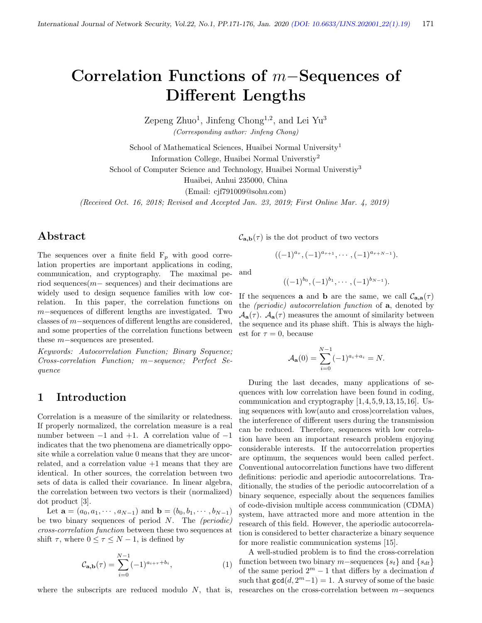# Correlation Functions of m−Sequences of Different Lengths

Zepeng Zhuo<sup>1</sup>, Jinfeng Chong<sup>1,2</sup>, and Lei Yu<sup>3</sup> (Corresponding author: Jinfeng Chong)

School of Mathematical Sciences, Huaibei Normal University<sup>1</sup> Information College, Huaibei Normal Universtiy<sup>2</sup> School of Computer Science and Technology, Huaibei Normal University<sup>3</sup> Huaibei, Anhui 235000, China

(Email: cjf791009@sohu.com)

(Received Oct. 16, 2018; Revised and Accepted Jan. 23, 2019; First Online Mar. 4, 2019)

## Abstract

The sequences over a finite field  $F_p$  with good correlation properties are important applications in coding, communication, and cryptography. The maximal period sequences(m− sequences) and their decimations are widely used to design sequence families with low correlation. In this paper, the correlation functions on m−sequences of different lengths are investigated. Two classes of m−sequences of different lengths are considered, and some properties of the correlation functions between these m−sequences are presented.

Keywords: Autocorrelation Function; Binary Sequence; Cross-correlation Function; m−sequence; Perfect Sequence

## 1 Introduction

Correlation is a measure of the similarity or relatedness. If properly normalized, the correlation measure is a real number between  $-1$  and  $+1$ . A correlation value of  $-1$ indicates that the two phenomena are diametrically opposite while a correlation value 0 means that they are uncorrelated, and a correlation value +1 means that they are identical. In other sources, the correlation between two sets of data is called their covariance. In linear algebra, the correlation between two vectors is their (normalized) dot product [3].

Let  $\mathbf{a} = (a_0, a_1, \dots, a_{N-1})$  and  $\mathbf{b} = (b_0, b_1, \dots, b_{N-1})$ be two binary sequences of period  $N$ . The *(periodic)* cross-correlation function between these two sequences at shift  $\tau$ , where  $0 \leq \tau \leq N-1$ , is defined by

$$
\mathcal{C}_{\mathbf{a},\mathbf{b}}(\tau) = \sum_{i=0}^{N-1} (-1)^{a_{i+\tau} + b_i}, \tag{1}
$$

where the subscripts are reduced modulo  $N$ , that is,

 $C_{\mathbf{a},\mathbf{b}}(\tau)$  is the dot product of two vectors

$$
((-1)^{a_{\tau}}, (-1)^{a_{\tau+1}}, \cdots, (-1)^{a_{\tau+N-1}}).
$$

and

$$
((-1)^{b_0}, (-1)^{b_1}, \cdots, (-1)^{b_{N-1}}).
$$

If the sequences **a** and **b** are the same, we call  $C_{\mathbf{a},\mathbf{a}}(\tau)$ the (periodic) autocorrelation function of a, denoted by  $\mathcal{A}_{a}(\tau)$ .  $\mathcal{A}_{a}(\tau)$  measures the amount of similarity between the sequence and its phase shift. This is always the highest for  $\tau = 0$ , because

$$
\mathcal{A}_{\mathbf{a}}(0) = \sum_{i=0}^{N-1} (-1)^{a_i + a_i} = N.
$$

During the last decades, many applications of sequences with low correlation have been found in coding, communication and cryptography [1,4,5,9,13,15,16]. Using sequences with low(auto and cross)correlation values, the interference of different users during the transmission can be reduced. Therefore, sequences with low correlation have been an important research problem enjoying considerable interests. If the autocorrelation properties are optimum, the sequences would been called perfect. Conventional autocorrelation functions have two different definitions: periodic and aperiodic autocorrelations. Traditionally, the studies of the periodic autocorrelation of a binary sequence, especially about the sequences families of code-division multiple access communication (CDMA) system, have attracted more and more attention in the research of this field. However, the aperiodic autocorrelation is considered to better characterize a binary sequence for more realistic communication systems [15].

A well-studied problem is to find the cross-correlation function between two binary m−sequences  $\{s_t\}$  and  $\{s_{dt}\}$ of the same period  $2^m - 1$  that differs by a decimation d such that  $gcd(d, 2<sup>m</sup>-1) = 1$ . A survey of some of the basic researches on the cross-correlation between m−sequencs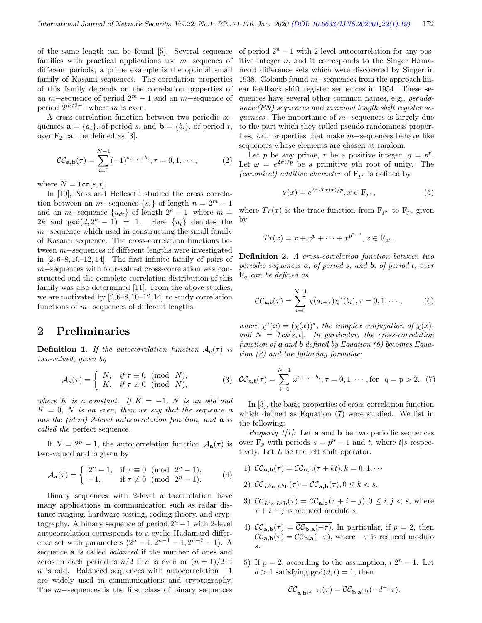of the same length can be found [5]. Several sequence families with practical applications use m−sequencs of different periods, a prime example is the optimal small family of Kasami sequences. The correlation properties of this family depends on the correlation properties of an m–sequence of period  $2^m - 1$  and an m–sequence of period  $2^{m/2-1}$  where m is even.

A cross-correlation function between two periodic sequences  $\mathbf{a} = \{a_i\}$ , of period s, and  $\mathbf{b} = \{b_i\}$ , of period t, over  $F_2$  can be defined as [3].

$$
\mathcal{CC}_{\mathbf{a},\mathbf{b}}(\tau) = \sum_{i=0}^{N-1} (-1)^{a_{i+\tau} + b_i}, \tau = 0, 1, \cdots,
$$
 (2)

where  $N = \texttt{lcm}[s, t]$ .

In [10], Ness and Helleseth studied the cross correlation between an m−sequencs  $\{s_t\}$  of length  $n = 2^m - 1$ and an m–sequence  $\{u_{dt}\}\$  of length  $2^k - 1$ , where m = 2k and  $gcd(d, 2^k - 1) = 1$ . Here  $\{u_t\}$  denotes the m−sequence which used in constructing the small family of Kasami sequence. The cross-correlation functions between m−sequences of different lengths were investigated in  $[2, 6-8, 10-12, 14]$ . The first infinite family of pairs of m−sequences with four-valued cross-correlation was constructed and the complete correlation distribution of this family was also determined [11]. From the above studies, we are motivated by  $[2,6-8,10-12,14]$  to study correlation functions of m−sequences of different lengths.

## 2 Preliminaries

**Definition 1.** If the autocorrelation function  $A_a(\tau)$  is two-valued, given by

$$
\mathcal{A}_a(\tau) = \begin{cases} N, & \text{if } \tau \equiv 0 \pmod{N}, \\ K, & \text{if } \tau \not\equiv 0 \pmod{N}, \end{cases}
$$
 (3)

where K is a constant. If  $K = -1$ , N is an odd and  $K = 0$ , N is an even, then we say that the sequence **a** has the (ideal) 2-level autocorrelation function, and **a** is called the perfect sequence.

If  $N = 2<sup>n</sup> - 1$ , the autocorrelation function  $A_{a}(\tau)$  is two-valued and is given by

$$
\mathcal{A}_{\mathbf{a}}(\tau) = \begin{cases} 2^n - 1, & \text{if } \tau \equiv 0 \pmod{2^n - 1}, \\ -1, & \text{if } \tau \not\equiv 0 \pmod{2^n - 1}. \end{cases} \tag{4}
$$

Binary sequences with 2-level autocorrelation have many applications in communication such as radar distance ranging, hardware testing, coding theory, and cryptography. A binary sequence of period  $2<sup>n</sup> - 1$  with 2-level autocorrelation corresponds to a cyclic Hadamard difference set with parameters  $(2^{n} - 1, 2^{n-1} - 1, 2^{n-2} - 1)$ . A sequence a is called balanced if the number of ones and zeros in each period is  $n/2$  if n is even or  $(n \pm 1)/2$  if n is odd. Balanced sequences with autocorrelation  $-1$ are widely used in communications and cryptography. The m−sequences is the first class of binary sequences

of period  $2<sup>n</sup> - 1$  with 2-level autocorrelation for any positive integer  $n$ , and it corresponds to the Singer Hamamard difference sets which were discovered by Singer in 1938. Golomb found m−sequences from the approach linear feedback shift register sequences in 1954. These sequences have several other common names, e.g., pseudonoise(PN) sequences and maximal length shift register sequences. The importance of m−sequences is largely due to the part which they called pseudo randomness properties, i.e., properties that make m−sequences behave like sequences whose elements are chosen at random.

Let p be any prime, r be a positive integer,  $q = p^r$ . Let  $\omega = e^{2\pi i/p}$  be a primitive pth root of unity. The (canonical) additive character of  $F_{p^r}$  is defined by

$$
\chi(x) = e^{2\pi i Tr(x)/p}, x \in \mathcal{F}_{p^r},
$$
\n(5)

where  $Tr(x)$  is the trace function from  $F_{p^r}$  to  $F_p$ , given by

$$
Tr(x) = x + x^p + \dots + x^{p^{r-1}}, x \in F_{p^r}.
$$

Definition 2. A cross-correlation function between two periodic sequences  $\boldsymbol{a}$ , of period s, and  $\boldsymbol{b}$ , of period t, over  $F_q$  can be defined as

$$
\mathcal{CC}_{\mathbf{a},\mathbf{b}}(\tau) = \sum_{i=0}^{N-1} \chi(a_{i+\tau}) \chi^*(b_i), \tau = 0, 1, \cdots,
$$
 (6)

where  $\chi^*(x) = (\chi(x))^*$ , the complex conjugation of  $\chi(x)$ , and  $N = \text{lcm}[s, t]$ . In particular, the cross-correlation function of  $\boldsymbol{a}$  and  $\boldsymbol{b}$  defined by Equation (6) becomes Equation (2) and the following formulae:

$$
\mathcal{CC}_{a,b}(\tau) = \sum_{i=0}^{N-1} \omega^{a_{i+\tau}-b_i}, \tau = 0, 1, \cdots, \text{for } q = p > 2.
$$
 (7)

In [3], the basic properties of cross-correlation function which defined as Equation (7) were studied. We list in the following:

*Property*  $1/1$ *:* Let **a** and **b** be two periodic sequences over  $F_p$  with periods  $s = p^n - 1$  and t, where t|s respectively. Let L be the left shift operator.

1) 
$$
\mathcal{CC}_{\mathbf{a},\mathbf{b}}(\tau) = \mathcal{CC}_{\mathbf{a},\mathbf{b}}(\tau + kt), k = 0, 1, \cdots
$$

- 2)  $\mathcal{CC}_{L^k \mathbf{a}, L^k \mathbf{b}}(\tau) = \mathcal{CC}_{\mathbf{a}, \mathbf{b}}(\tau), 0 \leq k < s.$
- 3)  $\mathcal{CC}_{L^i\mathbf{a},L^j\mathbf{b}}(\tau) = \mathcal{CC}_{\mathbf{a},\mathbf{b}}(\tau+i-j), 0 \leq i,j < s$ , where  $\tau + i - j$  is reduced modulo s.
- 4)  $\mathcal{CC}_{\mathbf{a},\mathbf{b}}(\tau) = \overline{\mathcal{CC}_{\mathbf{b},\mathbf{a}}(-\tau)}$ . In particular, if  $p = 2$ , then  $\mathcal{CC}_{\mathbf{a},\mathbf{b}}(\tau) = \mathcal{CC}_{\mathbf{b},\mathbf{a}}(-\tau)$ , where  $-\tau$  is reduced modulo s.
- 5) If  $p = 2$ , according to the assumption,  $t/2^n 1$ . Let  $d > 1$  satisfying  $gcd(d, t) = 1$ , then

$$
\mathcal{CC}_{\mathbf{a},\mathbf{b}^{(d^{-1})}}(\tau)=\mathcal{CC}_{\mathbf{b},\mathbf{a}^{(d)}}(-d^{-1}\tau).
$$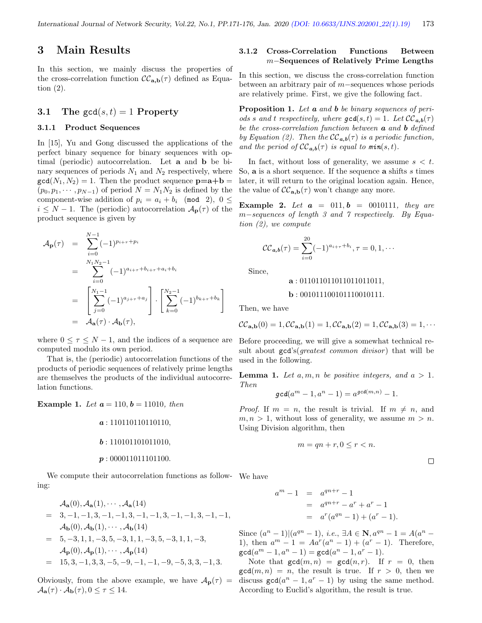## 3 Main Results

In this section, we mainly discuss the properties of the cross-correlation function  $\mathcal{CC}_{a,b}(\tau)$  defined as Equation (2).

### 3.1 The  $gcd(s, t) = 1$  Property

#### 3.1.1 Product Sequences

In [15], Yu and Gong discussed the applications of the perfect binary sequence for binary sequences with optimal (periodic) autocorrelation. Let a and b be binary sequences of periods  $N_1$  and  $N_2$  respectively, where  $gcd(N_1, N_2) = 1$ . Then the product sequence  $\mathbf{p} = \mathbf{a} + \mathbf{b} =$  $(p_0, p_1, \dots, p_{N-1})$  of period  $N = N_1 N_2$  is defined by the component-wise addition of  $p_i = a_i + b_i \pmod{2}$ ,  $0 \leq$  $i \leq N-1$ . The (periodic) autocorrelation  $\mathcal{A}_{\mathbf{p}}(\tau)$  of the product sequence is given by

$$
\mathcal{A}_{\mathbf{p}}(\tau) = \sum_{i=0}^{N-1} (-1)^{p_{i+\tau}+p_i}
$$
  
\n
$$
= \sum_{i=0}^{N_1N_2-1} (-1)^{a_{i+\tau}+b_{i+\tau}+a_i+b_i}
$$
  
\n
$$
= \left[ \sum_{j=0}^{N_1-1} (-1)^{a_{j+\tau}+a_j} \right] \cdot \left[ \sum_{k=0}^{N_2-1} (-1)^{b_{k+\tau}+b_k} \right]
$$
  
\n
$$
= \mathcal{A}_{\mathbf{a}}(\tau) \cdot \mathcal{A}_{\mathbf{b}}(\tau),
$$

where  $0 \leq \tau \leq N-1$ , and the indices of a sequence are computed modulo its own period.

That is, the (periodic) autocorrelation functions of the products of periodic sequences of relatively prime lengths are themselves the products of the individual autocorrelation functions.

**Example 1.** Let  $a = 110, b = 11010$ , then

$$
a: 110110110110110,
$$
  

$$
b: 110101101011010,
$$
  

$$
p: 000011011101100.
$$

We compute their autocorrelation functions as follow-We have ing:

$$
\mathcal{A}_{\mathbf{a}}(0), \mathcal{A}_{\mathbf{a}}(1), \cdots, \mathcal{A}_{\mathbf{a}}(14) \n= 3, -1, -1, 3, -1, -1, 3, -1, -1, 3, -1, -1, 3, -1, -1, \n\mathcal{A}_{\mathbf{b}}(0), \mathcal{A}_{\mathbf{b}}(1), \cdots, \mathcal{A}_{\mathbf{b}}(14) \n= 5, -3, 1, 1, -3, 5, -3, 1, 1, -3, 5, -3, 1, 1, -3, \n\mathcal{A}_{\mathbf{p}}(0), \mathcal{A}_{\mathbf{p}}(1), \cdots, \mathcal{A}_{\mathbf{p}}(14) \n= 15, 3, -1, 3, 3, -5, -9, -1, -1, -9, -5, 3, 3, -1, 3.
$$

Obviously, from the above example, we have  $A_{p}(\tau) =$  $\mathcal{A}_{\mathbf{a}}(\tau) \cdot \mathcal{A}_{\mathbf{b}}(\tau), 0 \leq \tau \leq 14.$ 

### 3.1.2 Cross-Correlation Functions Between m−Sequences of Relatively Prime Lengths

In this section, we discuss the cross-correlation function between an arbitrary pair of m−sequences whose periods are relatively prime. First, we give the following fact.

**Proposition 1.** Let **a** and **b** be binary sequences of periods s and t respectively, where  $\gcd(s,t) = 1$ . Let  $\mathcal{CC}_{a,b}(\tau)$ be the cross-correlation function between  $\boldsymbol{a}$  and  $\boldsymbol{b}$  defined by Equation (2). Then the  $\mathcal{CC}_{a,b}(\tau)$  is a periodic function, and the period of  $\mathcal{CC}_{a,b}(\tau)$  is equal to min $(s,t)$ .

In fact, without loss of generality, we assume  $s < t$ . So, **a** is a short sequence. If the sequence **a** shifts s times later, it will return to the original location again. Hence, the value of  $\mathcal{CC}_{a,b}(\tau)$  won't change any more.

**Example 2.** Let  $a = 011, b = 0010111$ , they are m−sequences of length 3 and 7 respectively. By Equation (2), we compute

$$
\mathcal{CC}_{a,b}(\tau) = \sum_{i=0}^{20} (-1)^{a_{i+\tau}+b_i}, \tau = 0, 1, \cdots
$$

Since,

$$
\mathbf{a}: 011011011011011011011,
$$

$$
b : 001011100101110010111.
$$

Then, we have

$$
\mathcal{CC}_{\mathbf{a},\mathbf{b}}(0) = 1, \mathcal{CC}_{\mathbf{a},\mathbf{b}}(1) = 1, \mathcal{CC}_{\mathbf{a},\mathbf{b}}(2) = 1, \mathcal{CC}_{\mathbf{a},\mathbf{b}}(3) = 1, \cdots
$$

Before proceeding, we will give a somewhat technical result about  $gcd's(greatest common divisor)$  that will be used in the following.

**Lemma 1.** Let  $a, m, n$  be positive integers, and  $a > 1$ . Then

$$
\gcd(a^m-1, a^n-1) = a^{\gcd(m,n)} - 1.
$$

*Proof.* If  $m = n$ , the result is trivial. If  $m \neq n$ , and  $m, n > 1$ , without loss of generality, we assume  $m > n$ . Using Division algorithm, then

$$
m = qn + r, 0 \le r < n.
$$

$$
a^{m} - 1 = a^{qn+r} - 1
$$
  
=  $a^{qn+r} - a^{r} + a^{r} - 1$ 

$$
= a^r(a^{qn} - 1) + (a^r - 1).
$$

Since  $(a^{n} - 1)|(a^{qn} - 1), i.e., \exists A \in \mathbb{N}, a^{qn} - 1 = A(a^{n} - 1)$ 1), then  $a^m - 1 = A a^r (a^n - 1) + (a^r - 1)$ . Therefore,  $gcd(a^m - 1, a^n - 1) = gcd(a^n - 1, a^r - 1).$ 

Note that  $gcd(m, n) = gcd(n, r)$ . If  $r = 0$ , then  $gcd(m, n) = n$ , the result is true. If  $r > 0$ , then we discuss  $gcd(a^n - 1, a^r - 1)$  by using the same method. According to Euclid's algorithm, the result is true.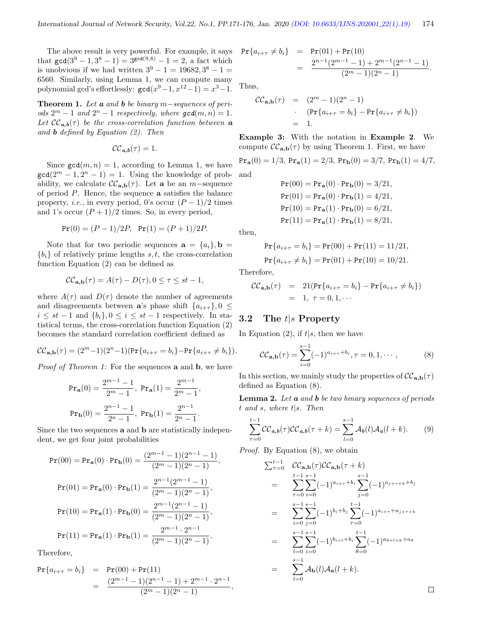The above result is very powerful. For example, it says that  $gcd(3^9 - 1, 3^8 - 1) = 3^{gcd(9,8)} - 1 = 2$ , a fact which is unobvious if we had written  $3^9 - 1 = 19682, 3^8 - 1 =$ 6560. Similarly, using Lemma 1, we can compute many polynomial gcd's effortlessly:  $\gcd(x^9-1, x^{12}-1) = x^3-1$ .

Theorem 1. Let  $\boldsymbol{a}$  and  $\boldsymbol{b}$  be binary m−sequences of periods  $2^m - 1$  and  $2^n - 1$  respectively, where  $gcd(m, n) = 1$ . Let  $\mathcal{CC}_{a,b}(\tau)$  be the cross-correlation function between a and **b** defined by Equation  $(2)$ . Then

$$
\mathcal{CC}_{a,b}(\tau)=1.
$$

Since  $gcd(m, n) = 1$ , according to Lemma 1, we have  $gcd(2^m - 1, 2^n - 1) = 1$ . Using the knowledge of probability, we calculate  $\mathcal{CC}_{a,b}(\tau)$ . Let a be an m-sequence of period P. Hence, the sequence a satisfies the balance property, *i.e.*, in every period, 0's occur  $(P-1)/2$  times and 1's occur  $(P + 1)/2$  times. So, in every period,

$$
Pr(0) = (P - 1)/2P, Pr(1) = (P + 1)/2P.
$$

Note that for two periodic sequences  $\mathbf{a} = \{a_i\}, \mathbf{b} =$  ${b_i}$  of relatively prime lengths s, t, the cross-correlation function Equation (2) can be defined as

$$
\mathcal{CC}_{\mathbf{a},\mathbf{b}}(\tau) = A(\tau) - D(\tau), 0 \le \tau \le st - 1,
$$

where  $A(\tau)$  and  $D(\tau)$  denote the number of agreements and disagreements between **a**'s phase shift  $\{a_{i+\tau}\}, 0 \leq$  $i \leq st - 1$  and  $\{b_i\}$ ,  $0 \leq i \leq st - 1$  respectively. In statistical terms, the cross-correlation function Equation (2) becomes the standard correlation coefficient defined as

$$
CC_{\mathbf{a},\mathbf{b}}(\tau) = (2^m - 1)(2^n - 1)(\Pr\{a_{i+\tau} = b_i\} - \Pr\{a_{i+\tau} \neq b_i\}).
$$

Proof of Theorem 1: For the sequences **a** and **b**, we have

$$
\Pr_{\mathbf{a}}(0) = \frac{2^{m-1} - 1}{2^m - 1}, \text{ } \Pr_{\mathbf{a}}(1) = \frac{2^{m-1}}{2^m - 1},
$$

$$
\Pr_{\mathbf{b}}(0) = \frac{2^{n-1} - 1}{2^n - 1}, \text{ } \Pr_{\mathbf{b}}(1) = \frac{2^{n-1}}{2^n - 1}.
$$

Since the two sequences a and b are statistically independent, we get four joint probabilities

$$
\begin{aligned} \Pr(00) &= \Pr_{\mathbf{a}}(0) \cdot \Pr_{\mathbf{b}}(0) = \frac{(2^{m-1}-1)(2^{n-1}-1)}{(2^m-1)(2^n-1)}, \\ \Pr(01) &= \Pr_{\mathbf{a}}(0) \cdot \Pr_{\mathbf{b}}(1) = \frac{2^{n-1}(2^{m-1}-1)}{(2^m-1)(2^n-1)}, \\ \Pr(10) &= \Pr_{\mathbf{a}}(1) \cdot \Pr_{\mathbf{b}}(0) = \frac{2^{m-1}(2^{n-1}-1)}{(2^m-1)(2^n-1)}, \\ \Pr(11) &= \Pr_{\mathbf{a}}(1) \cdot \Pr_{\mathbf{b}}(1) = \frac{2^{m-1} \cdot 2^{n-1}}{(2^m-1)(2^n-1)}. \end{aligned}
$$

Therefore,

$$
\begin{array}{rcl}\Pr\{a_{i+\tau}=b_i\} & = & \Pr(00) + \Pr(11) \\
 & = & \frac{(2^{m-1}-1)(2^{n-1}-1) + 2^{m-1} \cdot 2^{n-1}}{(2^m-1)(2^n-1)},\n\end{array}
$$

$$
i_{++} \neq b_i
$$
 = Pr(01) + Pr(10)  
= 
$$
\frac{2^{n-1}(2^{m-1}-1) + 2^{m-1}(2^{n-1}-1)}{(2^m-1)(2^n-1)}.
$$

Thus,

 $Pr{a$ 

$$
\mathcal{CC}_{\mathbf{a},\mathbf{b}}(\tau) = (2^m - 1)(2^n - 1)
$$
  
 
$$
\cdot \quad (\Pr\{a_{i+\tau} = b_i\} - \Pr\{a_{i+\tau} \neq b_i\})
$$
  
= 1.

Example 3: With the notation in Example 2. We compute  $\mathcal{CC}_{\mathbf{a},\mathbf{b}}(\tau)$  by using Theorem 1. First, we have

 $Pr_{\bf{a}}(0) = 1/3$ ,  $Pr_{\bf{a}}(1) = 2/3$ ,  $Pr_{\bf{b}}(0) = 3/7$ ,  $Pr_{\bf{b}}(1) = 4/7$ , and

$$
Pr(00) = Pr_{\mathbf{a}}(0) \cdot Pr_{\mathbf{b}}(0) = 3/21,
$$
  
\n
$$
Pr(01) = Pr_{\mathbf{a}}(0) \cdot Pr_{\mathbf{b}}(1) = 4/21,
$$
  
\n
$$
Pr(10) = Pr_{\mathbf{a}}(1) \cdot Pr_{\mathbf{b}}(0) = 6/21,
$$
  
\n
$$
Pr(11) = Pr_{\mathbf{a}}(1) \cdot Pr_{\mathbf{b}}(1) = 8/21,
$$

then,

$$
\Pr\{a_{i+\tau} = b_i\} = \Pr(00) + \Pr(11) = 11/21,
$$
  

$$
\Pr\{a_{i+\tau} \neq b_i\} = \Pr(01) + \Pr(10) = 10/21.
$$

Therefore,

$$
\mathcal{CC}_{\mathbf{a},\mathbf{b}}(\tau) = 21(\Pr\{a_{i+\tau} = b_i\} - \Pr\{a_{i+\tau} \neq b_i\})
$$
  
= 1, \tau = 0,1,...

### 3.2 The t|s Property

In Equation (2), if  $t|s$ , then we have

$$
\mathcal{CC}_{\mathbf{a},\mathbf{b}}(\tau) = \sum_{i=0}^{s-1} (-1)^{a_{i+\tau} + b_i}, \tau = 0, 1, \cdots,
$$
 (8)

In this section, we mainly study the properties of  $\mathcal{CC}_{\mathbf{a},\mathbf{b}}(\tau)$ defined as Equation (8).

**Lemma 2.** Let  $\boldsymbol{a}$  and  $\boldsymbol{b}$  be two binary sequences of periods t and s, where t|s. Then

$$
\sum_{\tau=0}^{t-1} CC_{a,b}(\tau) CC_{a,b}(\tau+k) = \sum_{l=0}^{s-1} A_b(l) A_a(l+k).
$$
 (9)

Proof. By Equation (8), we obtain

$$
\sum_{\tau=0}^{t-1} CC_{\mathbf{a},\mathbf{b}}(\tau)CC_{\mathbf{a},\mathbf{b}}(\tau+k)
$$
\n
$$
= \sum_{\tau=0}^{t-1} \sum_{i=0}^{s-1} (-1)^{a_{i+\tau}+b_i} \sum_{j=0}^{s-1} (-1)^{a_{j+\tau+k}+b_j}
$$
\n
$$
= \sum_{i=0}^{s-1} \sum_{j=0}^{s-1} (-1)^{b_i+b_j} \sum_{\tau=0}^{t-1} (-1)^{a_{i+\tau}+a_{j+\tau+k}}
$$
\n
$$
= \sum_{l=0}^{s-1} \sum_{i=0}^{s-1} (-1)^{b_{i+l}+b_i} \sum_{\theta=0}^{t-1} (-1)^{a_{\theta+l+k}+a_{\theta}}
$$
\n
$$
= \sum_{l=0}^{s-1} A_{\mathbf{b}}(l) A_{\mathbf{a}}(l+k).
$$

 $\Box$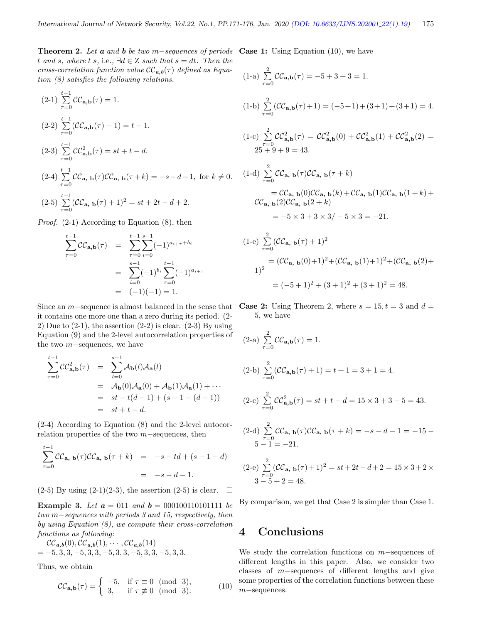**Theorem 2.** Let **a** and **b** be two m-sequences of periods Case 1: Using Equation (10), we have t and s, where  $t|s$ , i.e.,  $\exists d \in \mathbb{Z}$  such that  $s = dt$ . Then the cross-correlation function value  $\mathcal{CC}_{a,b}(\tau)$  defined as Equation (8) satisfies the following relations.

$$
(2-1) \sum_{\tau=0}^{t-1} \mathcal{CC}_{\mathbf{a},\mathbf{b}}(\tau) = 1.
$$
  
\n
$$
(2-2) \sum_{\tau=0}^{t-1} (\mathcal{CC}_{\mathbf{a},\mathbf{b}}(\tau) + 1) = t + 1.
$$
  
\n
$$
(2-3) \sum_{\tau=0}^{t-1} \mathcal{CC}_{\mathbf{a},\mathbf{b}}^2(\tau) = st + t - d.
$$
  
\n
$$
(2-4) \sum_{\tau=0}^{t-1} \mathcal{CC}_{\mathbf{a},\mathbf{b}}(\tau) \mathcal{CC}_{\mathbf{a},\mathbf{b}}(\tau + k) = -s - d - 1, \text{ for } k \neq 0.
$$
  
\n
$$
(2-5) \sum_{\tau=0}^{t-1} (\mathcal{CC}_{\mathbf{a},\mathbf{b}}(\tau) + 1)^2 = st + 2t - d + 2.
$$

Proof. (2-1) According to Equation (8), then

$$
\sum_{\tau=0}^{t-1} CC_{\mathbf{a},\mathbf{b}}(\tau) = \sum_{\tau=0}^{t-1} \sum_{i=0}^{s-1} (-1)^{a_{i+\tau}+b_i}
$$

$$
= \sum_{i=0}^{s-1} (-1)^{b_i} \sum_{\tau=0}^{t-1} (-1)^{a_{i+\tau}}
$$

$$
= (-1)(-1) = 1.
$$

it contains one more one than a zero during its period. (2- 2) Due to  $(2-1)$ , the assertion  $(2-2)$  is clear.  $(2-3)$  By using Equation (9) and the 2-level autocorrelation properties of the two m−sequences, we have

$$
\sum_{\tau=0}^{t-1} \mathcal{CC}_{\mathbf{a},\mathbf{b}}^2(\tau) = \sum_{l=0}^{s-1} \mathcal{A}_{\mathbf{b}}(l) \mathcal{A}_{\mathbf{a}}(l)
$$
  
=  $\mathcal{A}_{\mathbf{b}}(0) \mathcal{A}_{\mathbf{a}}(0) + \mathcal{A}_{\mathbf{b}}(1) \mathcal{A}_{\mathbf{a}}(1) + \cdots$   
=  $st - t(d-1) + (s - 1 - (d-1))$   
=  $st + t - d$ .

(2-4) According to Equation (8) and the 2-level autocorrelation properties of the two m−sequences, then

$$
\sum_{\tau=0}^{t-1} CC_{\mathbf{a}, \mathbf{b}}(\tau)CC_{\mathbf{a}, \mathbf{b}}(\tau+k) = -s - td + (s - 1 - d)
$$

$$
= -s - d - 1.
$$

 $(2-5)$  By using  $(2-1)(2-3)$ , the assertion  $(2-5)$  is clear.  $\Box$ 

Example 3. Let  $a = 011$  and  $b = 000100110101111$  be two m−sequences with periods 3 and 15, respectively, then by using Equation (8), we compute their cross-correlation functions as following:

$$
\mathcal{CC}_{a,b}(0), \mathcal{CC}_{a,b}(1), \cdots, \mathcal{CC}_{a,b}(14) = -5, 3, 3, -5, 3, 3, -5, 3, 3, -5, 3, 3, -5, 3, 3.
$$

Thus, we obtain

$$
\mathcal{CC}_{\mathbf{a},\mathbf{b}}(\tau) = \begin{cases}\n-5, & \text{if } \tau \equiv 0 \pmod{3}, \\
3, & \text{if } \tau \not\equiv 0 \pmod{3}.\n\end{cases}
$$
\n(10)

$$
(1-a) \sum_{\tau=0}^{2} \mathcal{CC}_{\mathbf{a},\mathbf{b}}(\tau) = -5 + 3 + 3 = 1.
$$
\n
$$
(1-b) \sum_{\tau=0}^{2} (\mathcal{CC}_{\mathbf{a},\mathbf{b}}(\tau) + 1) = (-5 + 1) + (3 + 1) + (3 + 1) = 4.
$$
\n
$$
(1-c) \sum_{\tau=0}^{2} \mathcal{CC}_{\mathbf{a},\mathbf{b}}^{2}(\tau) = \mathcal{CC}_{\mathbf{a},\mathbf{b}}^{2}(0) + \mathcal{CC}_{\mathbf{a},\mathbf{b}}^{2}(1) + \mathcal{CC}_{\mathbf{a},\mathbf{b}}^{2}(2) = 25 + 9 + 9 = 43.
$$
\n
$$
(1-d) \sum_{\tau=0}^{2} \mathcal{CC}_{\mathbf{a},\mathbf{b}}(\tau) \mathcal{CC}_{\mathbf{a},\mathbf{b}}(\tau + k)
$$
\n
$$
= \mathcal{CC}_{\mathbf{a},\mathbf{b}}(0) \mathcal{CC}_{\mathbf{a},\mathbf{b}}(k) + \mathcal{CC}_{\mathbf{a},\mathbf{b}}(1) \mathcal{CC}_{\mathbf{a},\mathbf{b}}(1 + k) +
$$
\n
$$
\mathcal{CC}_{\mathbf{a},\mathbf{b}}(2) \mathcal{CC}_{\mathbf{a},\mathbf{b}}(2 + k)
$$
\n
$$
= -5 \times 3 + 3 \times 3 / - 5 \times 3 = -21.
$$
\n
$$
(1-e) \sum_{\tau=0}^{2} (\mathcal{CC}_{\mathbf{a},\mathbf{b}}(\tau) + 1)^{2}
$$

$$
\begin{aligned} (-e) \sum_{\tau=0}^{1} (CC_{\mathbf{a}, \mathbf{b}}(\tau) + 1)^2 \\ &= (CC_{\mathbf{a}, \mathbf{b}}(0) + 1)^2 + (CC_{\mathbf{a}, \mathbf{b}}(1) + 1)^2 + (CC_{\mathbf{a}, \mathbf{b}}(2) + 1)^2 \\ &= (-5 + 1)^2 + (3 + 1)^2 + (3 + 1)^2 = 48. \end{aligned}
$$

Since an m–sequence is almost balanced in the sense that Case 2: Using Theorem 2, where  $s = 15$ ,  $t = 3$  and  $d =$ 5, we have

(2-a) 
$$
\sum_{\tau=0}^{2} \mathcal{CC}_{\mathbf{a},\mathbf{b}}(\tau) = 1.
$$
  
\n(2-b) 
$$
\sum_{\tau=0}^{2} (\mathcal{CC}_{\mathbf{a},\mathbf{b}}(\tau) + 1) = t + 1 = 3 + 1 = 4.
$$
  
\n(2-c) 
$$
\sum_{\tau=0}^{2} \mathcal{CC}_{\mathbf{a},\mathbf{b}}^{2}(\tau) = st + t - d = 15 \times 3 + 3 - 5 = 43.
$$
  
\n(2-d) 
$$
\sum_{\tau=0}^{2} \mathcal{CC}_{\mathbf{a},\mathbf{b}}(\tau) \mathcal{CC}_{\mathbf{a},\mathbf{b}}(\tau + k) = -s - d - 1 = -15 - 5 - 1 = -21.
$$
  
\n(2-e) 
$$
\sum_{\tau=0}^{2} (\mathcal{CC}_{\mathbf{a},\mathbf{b}}(\tau) + 1)^{2} = st + 2t - d + 2 = 15 \times 3 + 2 \times 3 - 5 + 2 = 48.
$$

By comparison, we get that Case 2 is simpler than Case 1.

## 4 Conclusions

We study the correlation functions on m−sequences of different lengths in this paper. Also, we consider two classes of m−sequences of different lengths and give some properties of the correlation functions between these m−sequences.